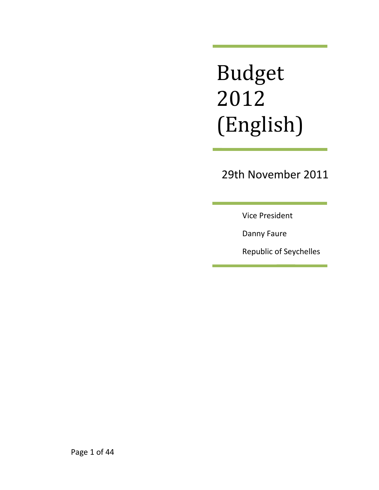# Budget 2012 (English)

# 29th November 2011

Vice President

Danny Faure

Republic of Seychelles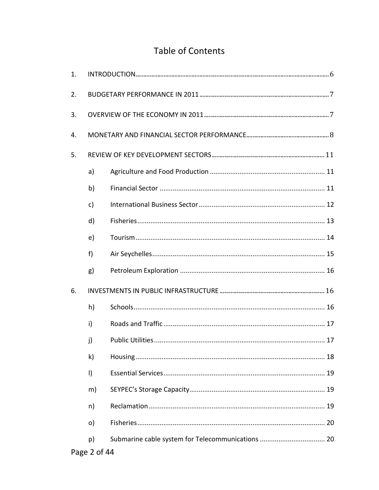## Table of Contents

| 1. |              |                                                   |  |  |  |
|----|--------------|---------------------------------------------------|--|--|--|
| 2. |              |                                                   |  |  |  |
| 3. |              |                                                   |  |  |  |
| 4. |              |                                                   |  |  |  |
| 5. |              |                                                   |  |  |  |
|    | a)           |                                                   |  |  |  |
|    | b)           |                                                   |  |  |  |
|    | c)           |                                                   |  |  |  |
|    | d)           |                                                   |  |  |  |
|    | e)           |                                                   |  |  |  |
|    | f)           |                                                   |  |  |  |
|    | g)           |                                                   |  |  |  |
| 6. |              |                                                   |  |  |  |
|    | h)           |                                                   |  |  |  |
|    | i)           |                                                   |  |  |  |
|    | j)           |                                                   |  |  |  |
|    | k)           |                                                   |  |  |  |
|    | $\vert$      |                                                   |  |  |  |
|    | m)           |                                                   |  |  |  |
|    | n)           |                                                   |  |  |  |
|    | $\circ)$     |                                                   |  |  |  |
|    | p)           | Submarine cable system for Telecommunications  20 |  |  |  |
|    | Page 2 of 44 |                                                   |  |  |  |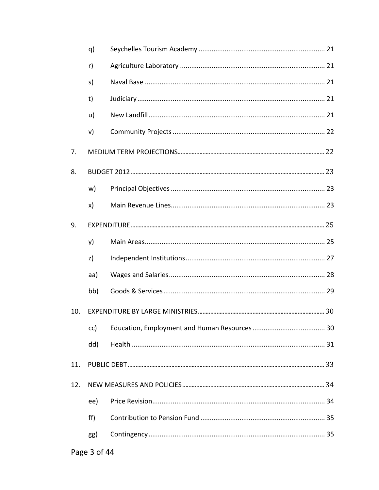|     | q)  |  |  |  |
|-----|-----|--|--|--|
|     | r)  |  |  |  |
|     | s)  |  |  |  |
|     | t)  |  |  |  |
|     | u)  |  |  |  |
|     | v)  |  |  |  |
| 7.  |     |  |  |  |
| 8.  |     |  |  |  |
|     | w)  |  |  |  |
|     | x)  |  |  |  |
| 9.  |     |  |  |  |
|     | y)  |  |  |  |
|     | z)  |  |  |  |
|     | aa) |  |  |  |
|     | bb) |  |  |  |
| 10. |     |  |  |  |
|     | cc) |  |  |  |
|     | dd) |  |  |  |
| 11. |     |  |  |  |
| 12. |     |  |  |  |
|     | ee) |  |  |  |
|     | ff) |  |  |  |
|     | gg) |  |  |  |
|     |     |  |  |  |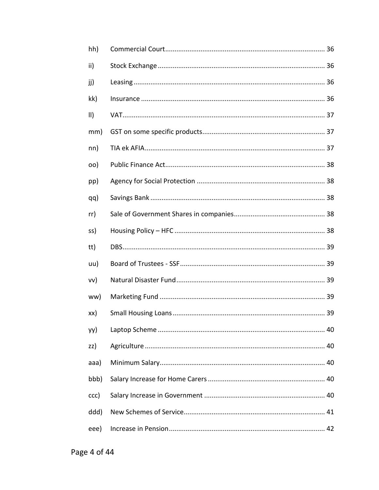| hh)         |  |
|-------------|--|
| ii)         |  |
| jj)         |  |
| kk)         |  |
| $\parallel$ |  |
| mm)         |  |
| nn)         |  |
| oo)         |  |
| pp)         |  |
| qq)         |  |
| rr)         |  |
| ss)         |  |
| tt)         |  |
| uu)         |  |
| vv)         |  |
| ww)         |  |
| xx)         |  |
| yy)         |  |
| zz)         |  |
| aaa)        |  |
| bbb)        |  |
| ccc)        |  |
| ddd)        |  |
| eee)        |  |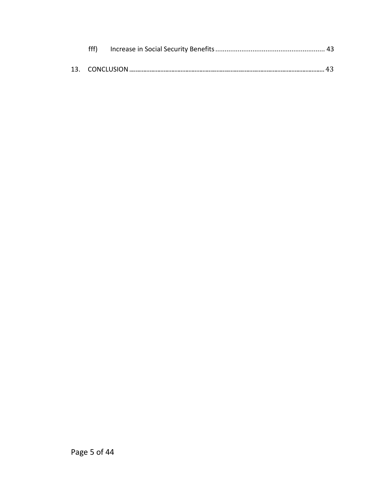| fff) |  |
|------|--|
|      |  |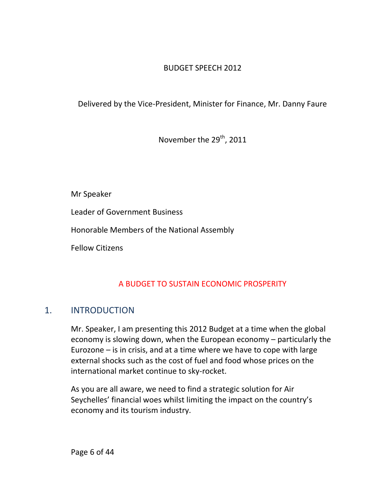## BUDGET SPEECH 2012

Delivered by the Vice-President, Minister for Finance, Mr. Danny Faure

November the 29<sup>th</sup>, 2011

Mr Speaker

Leader of Government Business

Honorable Members of the National Assembly

Fellow Citizens

## A BUDGET TO SUSTAIN ECONOMIC PROSPERITY

## <span id="page-5-0"></span>1. INTRODUCTION

Mr. Speaker, I am presenting this 2012 Budget at a time when the global economy is slowing down, when the European economy – particularly the Eurozone – is in crisis, and at a time where we have to cope with large external shocks such as the cost of fuel and food whose prices on the international market continue to sky-rocket.

As you are all aware, we need to find a strategic solution for Air Seychelles' financial woes whilst limiting the impact on the country's economy and its tourism industry.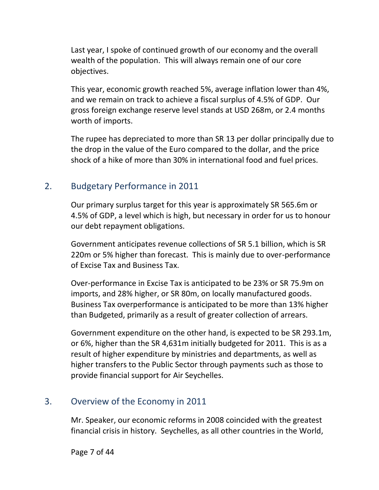Last year, I spoke of continued growth of our economy and the overall wealth of the population. This will always remain one of our core objectives.

This year, economic growth reached 5%, average inflation lower than 4%, and we remain on track to achieve a fiscal surplus of 4.5% of GDP. Our gross foreign exchange reserve level stands at USD 268m, or 2.4 months worth of imports.

The rupee has depreciated to more than SR 13 per dollar principally due to the drop in the value of the Euro compared to the dollar, and the price shock of a hike of more than 30% in international food and fuel prices.

## <span id="page-6-0"></span>2. Budgetary Performance in 2011

Our primary surplus target for this year is approximately SR 565.6m or 4.5% of GDP, a level which is high, but necessary in order for us to honour our debt repayment obligations.

Government anticipates revenue collections of SR 5.1 billion, which is SR 220m or 5% higher than forecast. This is mainly due to over-performance of Excise Tax and Business Tax.

Over-performance in Excise Tax is anticipated to be 23% or SR 75.9m on imports, and 28% higher, or SR 80m, on locally manufactured goods. Business Tax overperformance is anticipated to be more than 13% higher than Budgeted, primarily as a result of greater collection of arrears.

Government expenditure on the other hand, is expected to be SR 293.1m, or 6%, higher than the SR 4,631m initially budgeted for 2011. This is as a result of higher expenditure by ministries and departments, as well as higher transfers to the Public Sector through payments such as those to provide financial support for Air Seychelles.

## <span id="page-6-1"></span>3. Overview of the Economy in 2011

Mr. Speaker, our economic reforms in 2008 coincided with the greatest financial crisis in history. Seychelles, as all other countries in the World,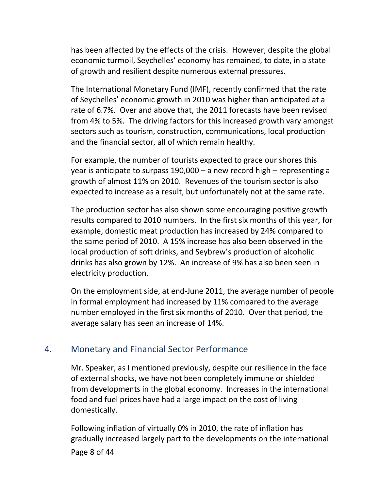has been affected by the effects of the crisis. However, despite the global economic turmoil, Seychelles' economy has remained, to date, in a state of growth and resilient despite numerous external pressures.

The International Monetary Fund (IMF), recently confirmed that the rate of Seychelles' economic growth in 2010 was higher than anticipated at a rate of 6.7%. Over and above that, the 2011 forecasts have been revised from 4% to 5%. The driving factors for this increased growth vary amongst sectors such as tourism, construction, communications, local production and the financial sector, all of which remain healthy.

For example, the number of tourists expected to grace our shores this year is anticipate to surpass 190,000 – a new record high – representing a growth of almost 11% on 2010. Revenues of the tourism sector is also expected to increase as a result, but unfortunately not at the same rate.

The production sector has also shown some encouraging positive growth results compared to 2010 numbers. In the first six months of this year, for example, domestic meat production has increased by 24% compared to the same period of 2010. A 15% increase has also been observed in the local production of soft drinks, and Seybrew's production of alcoholic drinks has also grown by 12%. An increase of 9% has also been seen in electricity production.

On the employment side, at end-June 2011, the average number of people in formal employment had increased by 11% compared to the average number employed in the first six months of 2010. Over that period, the average salary has seen an increase of 14%.

## <span id="page-7-0"></span>4. Monetary and Financial Sector Performance

Mr. Speaker, as I mentioned previously, despite our resilience in the face of external shocks, we have not been completely immune or shielded from developments in the global economy. Increases in the international food and fuel prices have had a large impact on the cost of living domestically.

Page 8 of 44 Following inflation of virtually 0% in 2010, the rate of inflation has gradually increased largely part to the developments on the international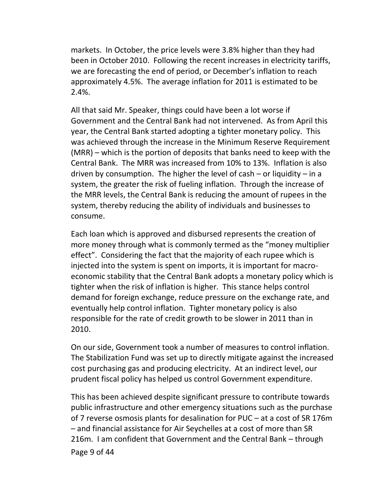markets. In October, the price levels were 3.8% higher than they had been in October 2010. Following the recent increases in electricity tariffs, we are forecasting the end of period, or December's inflation to reach approximately 4.5%. The average inflation for 2011 is estimated to be 2.4%.

All that said Mr. Speaker, things could have been a lot worse if Government and the Central Bank had not intervened. As from April this year, the Central Bank started adopting a tighter monetary policy. This was achieved through the increase in the Minimum Reserve Requirement (MRR) – which is the portion of deposits that banks need to keep with the Central Bank. The MRR was increased from 10% to 13%. Inflation is also driven by consumption. The higher the level of cash  $-$  or liquidity  $-$  in a system, the greater the risk of fueling inflation. Through the increase of the MRR levels, the Central Bank is reducing the amount of rupees in the system, thereby reducing the ability of individuals and businesses to consume.

Each loan which is approved and disbursed represents the creation of more money through what is commonly termed as the "money multiplier effect". Considering the fact that the majority of each rupee which is injected into the system is spent on imports, it is important for macroeconomic stability that the Central Bank adopts a monetary policy which is tighter when the risk of inflation is higher. This stance helps control demand for foreign exchange, reduce pressure on the exchange rate, and eventually help control inflation. Tighter monetary policy is also responsible for the rate of credit growth to be slower in 2011 than in 2010.

On our side, Government took a number of measures to control inflation. The Stabilization Fund was set up to directly mitigate against the increased cost purchasing gas and producing electricity. At an indirect level, our prudent fiscal policy has helped us control Government expenditure.

Page 9 of 44 This has been achieved despite significant pressure to contribute towards public infrastructure and other emergency situations such as the purchase of 7 reverse osmosis plants for desalination for PUC – at a cost of SR 176m – and financial assistance for Air Seychelles at a cost of more than SR 216m. I am confident that Government and the Central Bank – through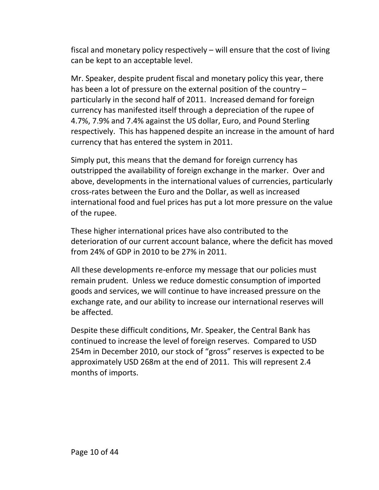fiscal and monetary policy respectively – will ensure that the cost of living can be kept to an acceptable level.

Mr. Speaker, despite prudent fiscal and monetary policy this year, there has been a lot of pressure on the external position of the country – particularly in the second half of 2011. Increased demand for foreign currency has manifested itself through a depreciation of the rupee of 4.7%, 7.9% and 7.4% against the US dollar, Euro, and Pound Sterling respectively. This has happened despite an increase in the amount of hard currency that has entered the system in 2011.

Simply put, this means that the demand for foreign currency has outstripped the availability of foreign exchange in the marker. Over and above, developments in the international values of currencies, particularly cross-rates between the Euro and the Dollar, as well as increased international food and fuel prices has put a lot more pressure on the value of the rupee.

These higher international prices have also contributed to the deterioration of our current account balance, where the deficit has moved from 24% of GDP in 2010 to be 27% in 2011.

All these developments re-enforce my message that our policies must remain prudent. Unless we reduce domestic consumption of imported goods and services, we will continue to have increased pressure on the exchange rate, and our ability to increase our international reserves will be affected.

Despite these difficult conditions, Mr. Speaker, the Central Bank has continued to increase the level of foreign reserves. Compared to USD 254m in December 2010, our stock of "gross" reserves is expected to be approximately USD 268m at the end of 2011. This will represent 2.4 months of imports.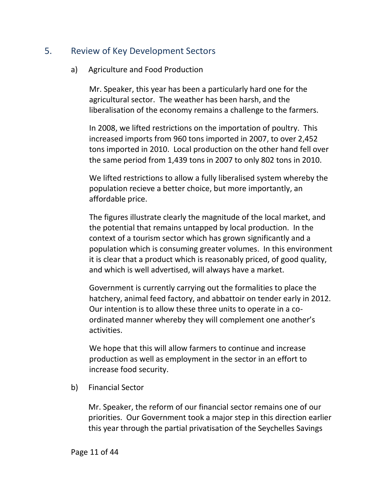## <span id="page-10-1"></span><span id="page-10-0"></span>5. Review of Key Development Sectors

#### a) Agriculture and Food Production

Mr. Speaker, this year has been a particularly hard one for the agricultural sector. The weather has been harsh, and the liberalisation of the economy remains a challenge to the farmers.

In 2008, we lifted restrictions on the importation of poultry. This increased imports from 960 tons imported in 2007, to over 2,452 tons imported in 2010. Local production on the other hand fell over the same period from 1,439 tons in 2007 to only 802 tons in 2010.

We lifted restrictions to allow a fully liberalised system whereby the population recieve a better choice, but more importantly, an affordable price.

The figures illustrate clearly the magnitude of the local market, and the potential that remains untapped by local production. In the context of a tourism sector which has grown significantly and a population which is consuming greater volumes. In this environment it is clear that a product which is reasonably priced, of good quality, and which is well advertised, will always have a market.

Government is currently carrying out the formalities to place the hatchery, animal feed factory, and abbattoir on tender early in 2012. Our intention is to allow these three units to operate in a coordinated manner whereby they will complement one another's activities.

We hope that this will allow farmers to continue and increase production as well as employment in the sector in an effort to increase food security.

<span id="page-10-2"></span>b) Financial Sector

Mr. Speaker, the reform of our financial sector remains one of our priorities. Our Government took a major step in this direction earlier this year through the partial privatisation of the Seychelles Savings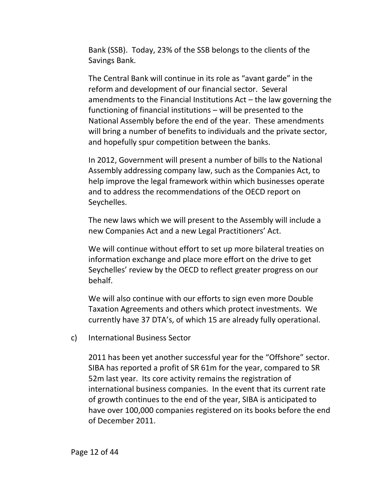Bank (SSB). Today, 23% of the SSB belongs to the clients of the Savings Bank.

The Central Bank will continue in its role as "avant garde" in the reform and development of our financial sector. Several amendments to the Financial Institutions Act – the law governing the functioning of financial institutions – will be presented to the National Assembly before the end of the year. These amendments will bring a number of benefits to individuals and the private sector, and hopefully spur competition between the banks.

In 2012, Government will present a number of bills to the National Assembly addressing company law, such as the Companies Act, to help improve the legal framework within which businesses operate and to address the recommendations of the OECD report on Seychelles.

The new laws which we will present to the Assembly will include a new Companies Act and a new Legal Practitioners' Act.

We will continue without effort to set up more bilateral treaties on information exchange and place more effort on the drive to get Seychelles' review by the OECD to reflect greater progress on our behalf.

We will also continue with our efforts to sign even more Double Taxation Agreements and others which protect investments. We currently have 37 DTA's, of which 15 are already fully operational.

<span id="page-11-0"></span>c) International Business Sector

2011 has been yet another successful year for the "Offshore" sector. SIBA has reported a profit of SR 61m for the year, compared to SR 52m last year. Its core activity remains the registration of international business companies. In the event that its current rate of growth continues to the end of the year, SIBA is anticipated to have over 100,000 companies registered on its books before the end of December 2011.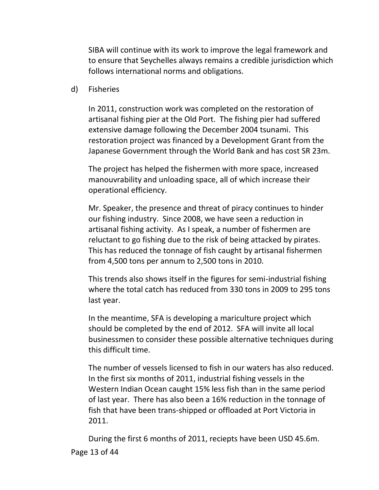SIBA will continue with its work to improve the legal framework and to ensure that Seychelles always remains a credible jurisdiction which follows international norms and obligations.

<span id="page-12-0"></span>d) Fisheries

In 2011, construction work was completed on the restoration of artisanal fishing pier at the Old Port. The fishing pier had suffered extensive damage following the December 2004 tsunami. This restoration project was financed by a Development Grant from the Japanese Government through the World Bank and has cost SR 23m.

The project has helped the fishermen with more space, increased manouvrability and unloading space, all of which increase their operational efficiency.

Mr. Speaker, the presence and threat of piracy continues to hinder our fishing industry. Since 2008, we have seen a reduction in artisanal fishing activity. As I speak, a number of fishermen are reluctant to go fishing due to the risk of being attacked by pirates. This has reduced the tonnage of fish caught by artisanal fishermen from 4,500 tons per annum to 2,500 tons in 2010.

This trends also shows itself in the figures for semi-industrial fishing where the total catch has reduced from 330 tons in 2009 to 295 tons last year.

In the meantime, SFA is developing a mariculture project which should be completed by the end of 2012. SFA will invite all local businessmen to consider these possible alternative techniques during this difficult time.

The number of vessels licensed to fish in our waters has also reduced. In the first six months of 2011, industrial fishing vessels in the Western Indian Ocean caught 15% less fish than in the same period of last year. There has also been a 16% reduction in the tonnage of fish that have been trans-shipped or offloaded at Port Victoria in 2011.

Page 13 of 44 During the first 6 months of 2011, reciepts have been USD 45.6m.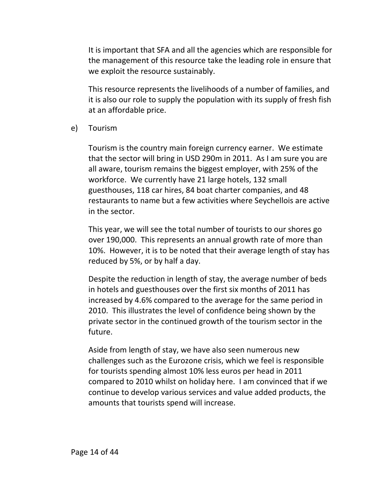It is important that SFA and all the agencies which are responsible for the management of this resource take the leading role in ensure that we exploit the resource sustainably.

This resource represents the livelihoods of a number of families, and it is also our role to supply the population with its supply of fresh fish at an affordable price.

<span id="page-13-0"></span>e) Tourism

Tourism is the country main foreign currency earner. We estimate that the sector will bring in USD 290m in 2011. As I am sure you are all aware, tourism remains the biggest employer, with 25% of the workforce. We currently have 21 large hotels, 132 small guesthouses, 118 car hires, 84 boat charter companies, and 48 restaurants to name but a few activities where Seychellois are active in the sector.

This year, we will see the total number of tourists to our shores go over 190,000. This represents an annual growth rate of more than 10%. However, it is to be noted that their average length of stay has reduced by 5%, or by half a day.

Despite the reduction in length of stay, the average number of beds in hotels and guesthouses over the first six months of 2011 has increased by 4.6% compared to the average for the same period in 2010. This illustrates the level of confidence being shown by the private sector in the continued growth of the tourism sector in the future.

Aside from length of stay, we have also seen numerous new challenges such as the Eurozone crisis, which we feel is responsible for tourists spending almost 10% less euros per head in 2011 compared to 2010 whilst on holiday here. I am convinced that if we continue to develop various services and value added products, the amounts that tourists spend will increase.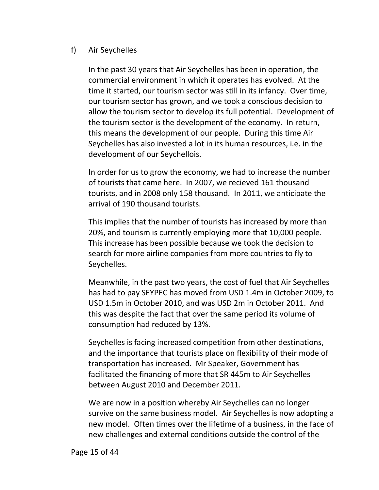#### <span id="page-14-0"></span>f) Air Seychelles

In the past 30 years that Air Seychelles has been in operation, the commercial environment in which it operates has evolved. At the time it started, our tourism sector was still in its infancy. Over time, our tourism sector has grown, and we took a conscious decision to allow the tourism sector to develop its full potential. Development of the tourism sector is the development of the economy. In return, this means the development of our people. During this time Air Seychelles has also invested a lot in its human resources, i.e. in the development of our Seychellois.

In order for us to grow the economy, we had to increase the number of tourists that came here. In 2007, we recieved 161 thousand tourists, and in 2008 only 158 thousand. In 2011, we anticipate the arrival of 190 thousand tourists.

This implies that the number of tourists has increased by more than 20%, and tourism is currently employing more that 10,000 people. This increase has been possible because we took the decision to search for more airline companies from more countries to fly to Seychelles.

Meanwhile, in the past two years, the cost of fuel that Air Seychelles has had to pay SEYPEC has moved from USD 1.4m in October 2009, to USD 1.5m in October 2010, and was USD 2m in October 2011. And this was despite the fact that over the same period its volume of consumption had reduced by 13%.

Seychelles is facing increased competition from other destinations, and the importance that tourists place on flexibility of their mode of transportation has increased. Mr Speaker, Government has facilitated the financing of more that SR 445m to Air Seychelles between August 2010 and December 2011.

We are now in a position whereby Air Seychelles can no longer survive on the same business model. Air Seychelles is now adopting a new model. Often times over the lifetime of a business, in the face of new challenges and external conditions outside the control of the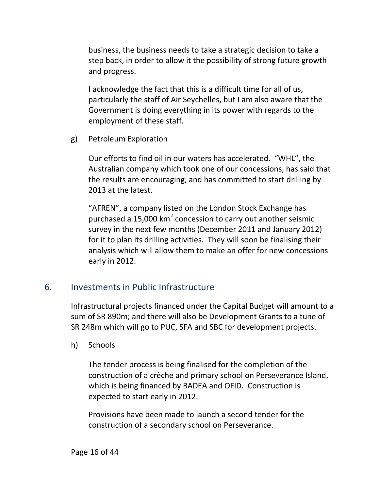business, the business needs to take a strategic decision to take a step back, in order to allow it the possibility of strong future growth and progress.

I acknowledge the fact that this is a difficult time for all of us, particularly the staff of Air Seychelles, but I am also aware that the Government is doing everything in its power with regards to the employment of these staff.

<span id="page-15-0"></span>g) Petroleum Exploration

Our efforts to find oil in our waters has accelerated. "WHL", the Australian company which took one of our concessions, has said that the results are encouraging, and has committed to start drilling by 2013 at the latest.

"AFREN", a company listed on the London Stock Exchange has purchased a 15,000 km<sup>2</sup> concession to carry out another seismic survey in the next few months (December 2011 and January 2012) for it to plan its drilling activities. They will soon be finalising their analysis which will allow them to make an offer for new concessions early in 2012.

## <span id="page-15-1"></span>6. Investments in Public Infrastructure

Infrastructural projects financed under the Capital Budget will amount to a sum of SR 890m; and there will also be Development Grants to a tune of SR 248m which will go to PUC, SFA and SBC for development projects.

<span id="page-15-2"></span>h) Schools

The tender process is being finalised for the completion of the construction of a crèche and primary school on Perseverance Island, which is being financed by BADEA and OFID. Construction is expected to start early in 2012.

Provisions have been made to launch a second tender for the construction of a secondary school on Perseverance.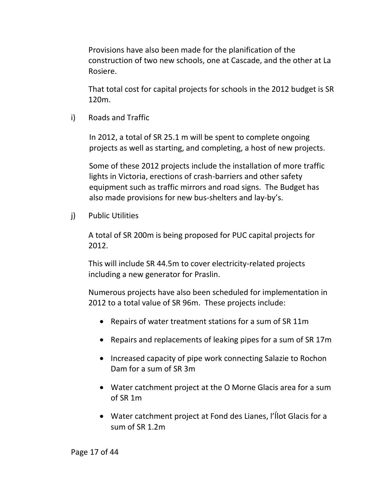Provisions have also been made for the planification of the construction of two new schools, one at Cascade, and the other at La Rosiere.

That total cost for capital projects for schools in the 2012 budget is SR 120m.

<span id="page-16-0"></span>i) Roads and Traffic

In 2012, a total of SR 25.1 m will be spent to complete ongoing projects as well as starting, and completing, a host of new projects.

Some of these 2012 projects include the installation of more traffic lights in Victoria, erections of crash-barriers and other safety equipment such as traffic mirrors and road signs. The Budget has also made provisions for new bus-shelters and lay-by's.

<span id="page-16-1"></span>j) Public Utilities

A total of SR 200m is being proposed for PUC capital projects for 2012.

This will include SR 44.5m to cover electricity-related projects including a new generator for Praslin.

Numerous projects have also been scheduled for implementation in 2012 to a total value of SR 96m. These projects include:

- Repairs of water treatment stations for a sum of SR 11m
- Repairs and replacements of leaking pipes for a sum of SR 17m
- Increased capacity of pipe work connecting Salazie to Rochon Dam for a sum of SR 3m
- Water catchment project at the O Morne Glacis area for a sum of SR 1m
- Water catchment project at Fond des Lianes, l'Ílot Glacis for a sum of SR 1.2m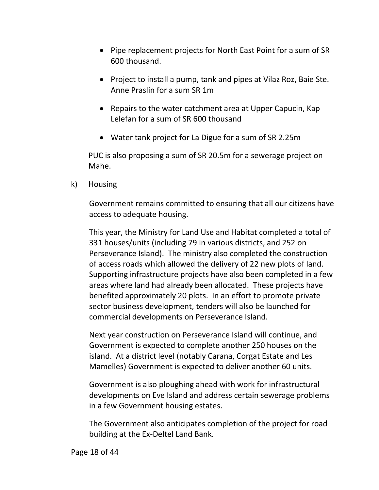- Pipe replacement projects for North East Point for a sum of SR 600 thousand.
- Project to install a pump, tank and pipes at Vilaz Roz, Baie Ste. Anne Praslin for a sum SR 1m
- Repairs to the water catchment area at Upper Capucin, Kap Lelefan for a sum of SR 600 thousand
- Water tank project for La Digue for a sum of SR 2.25m

PUC is also proposing a sum of SR 20.5m for a sewerage project on Mahe.

<span id="page-17-0"></span>k) Housing

Government remains committed to ensuring that all our citizens have access to adequate housing.

This year, the Ministry for Land Use and Habitat completed a total of 331 houses/units (including 79 in various districts, and 252 on Perseverance Island). The ministry also completed the construction of access roads which allowed the delivery of 22 new plots of land. Supporting infrastructure projects have also been completed in a few areas where land had already been allocated. These projects have benefited approximately 20 plots. In an effort to promote private sector business development, tenders will also be launched for commercial developments on Perseverance Island.

Next year construction on Perseverance Island will continue, and Government is expected to complete another 250 houses on the island. At a district level (notably Carana, Corgat Estate and Les Mamelles) Government is expected to deliver another 60 units.

Government is also ploughing ahead with work for infrastructural developments on Eve Island and address certain sewerage problems in a few Government housing estates.

The Government also anticipates completion of the project for road building at the Ex-Deltel Land Bank.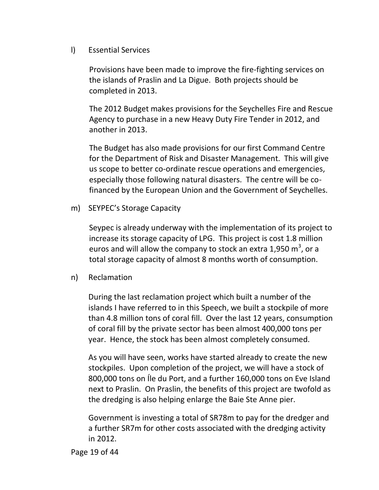<span id="page-18-0"></span>l) Essential Services

Provisions have been made to improve the fire-fighting services on the islands of Praslin and La Digue. Both projects should be completed in 2013.

The 2012 Budget makes provisions for the Seychelles Fire and Rescue Agency to purchase in a new Heavy Duty Fire Tender in 2012, and another in 2013.

The Budget has also made provisions for our first Command Centre for the Department of Risk and Disaster Management. This will give us scope to better co-ordinate rescue operations and emergencies, especially those following natural disasters. The centre will be cofinanced by the European Union and the Government of Seychelles.

<span id="page-18-1"></span>m) SEYPEC's Storage Capacity

Seypec is already underway with the implementation of its project to increase its storage capacity of LPG. This project is cost 1.8 million euros and will allow the company to stock an extra 1,950  $m^3$ , or a total storage capacity of almost 8 months worth of consumption.

<span id="page-18-2"></span>n) Reclamation

During the last reclamation project which built a number of the islands I have referred to in this Speech, we built a stockpile of more than 4.8 million tons of coral fill. Over the last 12 years, consumption of coral fill by the private sector has been almost 400,000 tons per year. Hence, the stock has been almost completely consumed.

As you will have seen, works have started already to create the new stockpiles. Upon completion of the project, we will have a stock of 800,000 tons on Íle du Port, and a further 160,000 tons on Eve Island next to Praslin. On Praslin, the benefits of this project are twofold as the dredging is also helping enlarge the Baie Ste Anne pier.

Government is investing a total of SR78m to pay for the dredger and a further SR7m for other costs associated with the dredging activity in 2012.

Page 19 of 44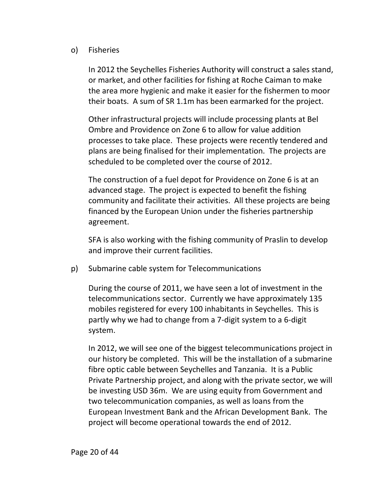#### <span id="page-19-0"></span>o) Fisheries

In 2012 the Seychelles Fisheries Authority will construct a sales stand, or market, and other facilities for fishing at Roche Caiman to make the area more hygienic and make it easier for the fishermen to moor their boats. A sum of SR 1.1m has been earmarked for the project.

Other infrastructural projects will include processing plants at Bel Ombre and Providence on Zone 6 to allow for value addition processes to take place. These projects were recently tendered and plans are being finalised for their implementation. The projects are scheduled to be completed over the course of 2012.

The construction of a fuel depot for Providence on Zone 6 is at an advanced stage. The project is expected to benefit the fishing community and facilitate their activities. All these projects are being financed by the European Union under the fisheries partnership agreement.

SFA is also working with the fishing community of Praslin to develop and improve their current facilities.

<span id="page-19-1"></span>p) Submarine cable system for Telecommunications

During the course of 2011, we have seen a lot of investment in the telecommunications sector. Currently we have approximately 135 mobiles registered for every 100 inhabitants in Seychelles. This is partly why we had to change from a 7-digit system to a 6-digit system.

In 2012, we will see one of the biggest telecommunications project in our history be completed. This will be the installation of a submarine fibre optic cable between Seychelles and Tanzania. It is a Public Private Partnership project, and along with the private sector, we will be investing USD 36m. We are using equity from Government and two telecommunication companies, as well as loans from the European Investment Bank and the African Development Bank. The project will become operational towards the end of 2012.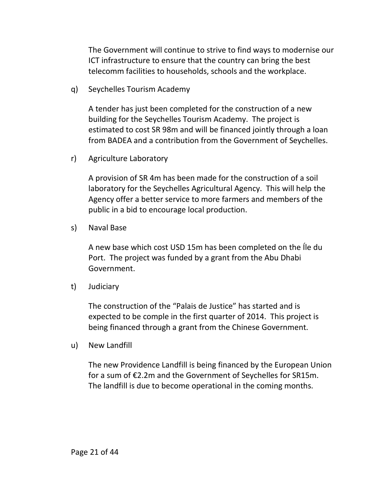The Government will continue to strive to find ways to modernise our ICT infrastructure to ensure that the country can bring the best telecomm facilities to households, schools and the workplace.

<span id="page-20-0"></span>q) Seychelles Tourism Academy

A tender has just been completed for the construction of a new building for the Seychelles Tourism Academy. The project is estimated to cost SR 98m and will be financed jointly through a loan from BADEA and a contribution from the Government of Seychelles.

<span id="page-20-1"></span>r) Agriculture Laboratory

A provision of SR 4m has been made for the construction of a soil laboratory for the Seychelles Agricultural Agency. This will help the Agency offer a better service to more farmers and members of the public in a bid to encourage local production.

<span id="page-20-2"></span>s) Naval Base

A new base which cost USD 15m has been completed on the Íle du Port. The project was funded by a grant from the Abu Dhabi Government.

<span id="page-20-3"></span>t) Judiciary

The construction of the "Palais de Justice" has started and is expected to be comple in the first quarter of 2014. This project is being financed through a grant from the Chinese Government.

<span id="page-20-4"></span>u) New Landfill

The new Providence Landfill is being financed by the European Union for a sum of €2.2m and the Government of Seychelles for SR15m. The landfill is due to become operational in the coming months.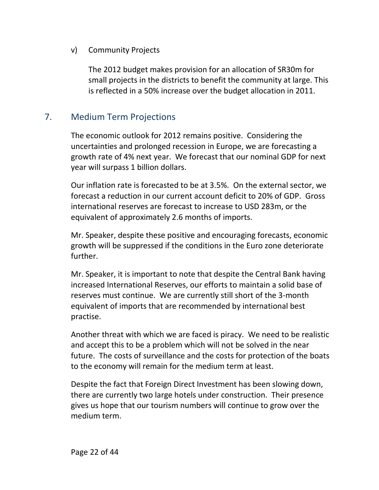#### <span id="page-21-0"></span>v) Community Projects

The 2012 budget makes provision for an allocation of SR30m for small projects in the districts to benefit the community at large. This is reflected in a 50% increase over the budget allocation in 2011.

## <span id="page-21-1"></span>7. Medium Term Projections

The economic outlook for 2012 remains positive. Considering the uncertainties and prolonged recession in Europe, we are forecasting a growth rate of 4% next year. We forecast that our nominal GDP for next year will surpass 1 billion dollars.

Our inflation rate is forecasted to be at 3.5%. On the external sector, we forecast a reduction in our current account deficit to 20% of GDP. Gross international reserves are forecast to increase to USD 283m, or the equivalent of approximately 2.6 months of imports.

Mr. Speaker, despite these positive and encouraging forecasts, economic growth will be suppressed if the conditions in the Euro zone deteriorate further.

Mr. Speaker, it is important to note that despite the Central Bank having increased International Reserves, our efforts to maintain a solid base of reserves must continue. We are currently still short of the 3-month equivalent of imports that are recommended by international best practise.

Another threat with which we are faced is piracy. We need to be realistic and accept this to be a problem which will not be solved in the near future. The costs of surveillance and the costs for protection of the boats to the economy will remain for the medium term at least.

Despite the fact that Foreign Direct Investment has been slowing down, there are currently two large hotels under construction. Their presence gives us hope that our tourism numbers will continue to grow over the medium term.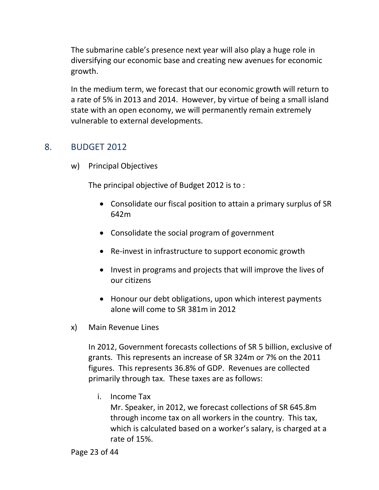The submarine cable's presence next year will also play a huge role in diversifying our economic base and creating new avenues for economic growth.

In the medium term, we forecast that our economic growth will return to a rate of 5% in 2013 and 2014. However, by virtue of being a small island state with an open economy, we will permanently remain extremely vulnerable to external developments.

## <span id="page-22-1"></span><span id="page-22-0"></span>8. BUDGET 2012

w) Principal Objectives

The principal objective of Budget 2012 is to :

- Consolidate our fiscal position to attain a primary surplus of SR 642m
- Consolidate the social program of government
- Re-invest in infrastructure to support economic growth
- Invest in programs and projects that will improve the lives of our citizens
- Honour our debt obligations, upon which interest payments alone will come to SR 381m in 2012
- <span id="page-22-2"></span>x) Main Revenue Lines

In 2012, Government forecasts collections of SR 5 billion, exclusive of grants. This represents an increase of SR 324m or 7% on the 2011 figures. This represents 36.8% of GDP. Revenues are collected primarily through tax. These taxes are as follows:

i. Income Tax

Mr. Speaker, in 2012, we forecast collections of SR 645.8m through income tax on all workers in the country. This tax, which is calculated based on a worker's salary, is charged at a rate of 15%.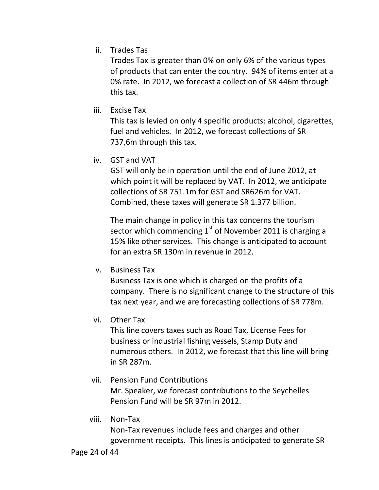ii. Trades Tas

Trades Tax is greater than 0% on only 6% of the various types of products that can enter the country. 94% of items enter at a 0% rate. In 2012, we forecast a collection of SR 446m through this tax.

iii. Excise Tax

This tax is levied on only 4 specific products: alcohol, cigarettes, fuel and vehicles. In 2012, we forecast collections of SR 737,6m through this tax.

iv. GST and VAT

GST will only be in operation until the end of June 2012, at which point it will be replaced by VAT. In 2012, we anticipate collections of SR 751.1m for GST and SR626m for VAT. Combined, these taxes will generate SR 1.377 billion.

The main change in policy in this tax concerns the tourism sector which commencing  $1<sup>st</sup>$  of November 2011 is charging a 15% like other services. This change is anticipated to account for an extra SR 130m in revenue in 2012.

v. Business Tax

Business Tax is one which is charged on the profits of a company. There is no significant change to the structure of this tax next year, and we are forecasting collections of SR 778m.

vi. Other Tax

This line covers taxes such as Road Tax, License Fees for business or industrial fishing vessels, Stamp Duty and numerous others. In 2012, we forecast that this line will bring in SR 287m.

vii. Pension Fund Contributions

Mr. Speaker, we forecast contributions to the Seychelles Pension Fund will be SR 97m in 2012.

viii. Non-Tax

Non-Tax revenues include fees and charges and other government receipts. This lines is anticipated to generate SR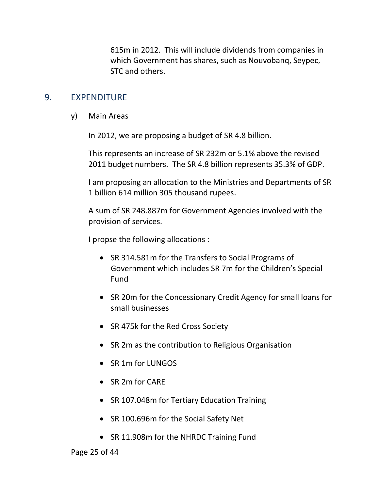615m in 2012. This will include dividends from companies in which Government has shares, such as Nouvobanq, Seypec, STC and others.

#### <span id="page-24-1"></span><span id="page-24-0"></span>9. EXPENDITURE

y) Main Areas

In 2012, we are proposing a budget of SR 4.8 billion.

This represents an increase of SR 232m or 5.1% above the revised 2011 budget numbers. The SR 4.8 billion represents 35.3% of GDP.

I am proposing an allocation to the Ministries and Departments of SR 1 billion 614 million 305 thousand rupees.

A sum of SR 248.887m for Government Agencies involved with the provision of services.

I propse the following allocations :

- SR 314.581m for the Transfers to Social Programs of Government which includes SR 7m for the Children's Special Fund
- SR 20m for the Concessionary Credit Agency for small loans for small businesses
- SR 475k for the Red Cross Society
- SR 2m as the contribution to Religious Organisation
- SR 1m for LUNGOS
- SR 2m for CARE
- SR 107.048m for Tertiary Education Training
- SR 100.696m for the Social Safety Net
- SR 11.908m for the NHRDC Training Fund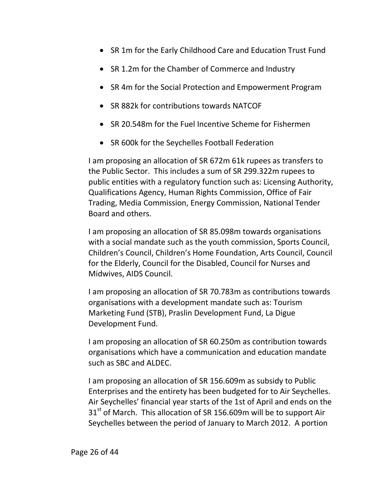- SR 1m for the Early Childhood Care and Education Trust Fund
- SR 1.2m for the Chamber of Commerce and Industry
- SR 4m for the Social Protection and Empowerment Program
- SR 882k for contributions towards NATCOF
- SR 20.548m for the Fuel Incentive Scheme for Fishermen
- SR 600k for the Seychelles Football Federation

I am proposing an allocation of SR 672m 61k rupees as transfers to the Public Sector. This includes a sum of SR 299.322m rupees to public entities with a regulatory function such as: Licensing Authority, Qualifications Agency, Human Rights Commission, Office of Fair Trading, Media Commission, Energy Commission, National Tender Board and others.

I am proposing an allocation of SR 85.098m towards organisations with a social mandate such as the youth commission, Sports Council, Children's Council, Children's Home Foundation, Arts Council, Council for the Elderly, Council for the Disabled, Council for Nurses and Midwives, AIDS Council.

I am proposing an allocation of SR 70.783m as contributions towards organisations with a development mandate such as: Tourism Marketing Fund (STB), Praslin Development Fund, La Digue Development Fund.

I am proposing an allocation of SR 60.250m as contribution towards organisations which have a communication and education mandate such as SBC and ALDEC.

I am proposing an allocation of SR 156.609m as subsidy to Public Enterprises and the entirety has been budgeted for to Air Seychelles. Air Seychelles' financial year starts of the 1st of April and ends on the  $31<sup>st</sup>$  of March. This allocation of SR 156.609m will be to support Air Seychelles between the period of January to March 2012. A portion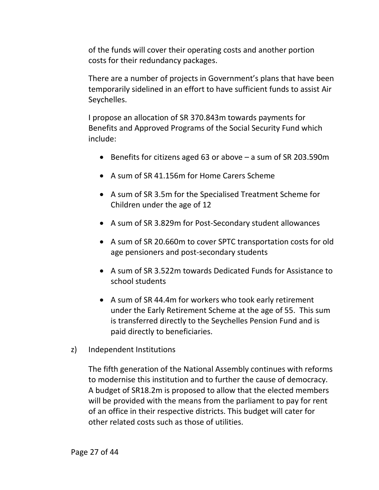of the funds will cover their operating costs and another portion costs for their redundancy packages.

There are a number of projects in Government's plans that have been temporarily sidelined in an effort to have sufficient funds to assist Air Seychelles.

I propose an allocation of SR 370.843m towards payments for Benefits and Approved Programs of the Social Security Fund which include:

- **•** Benefits for citizens aged 63 or above  $-$  a sum of SR 203.590m
- A sum of SR 41.156m for Home Carers Scheme
- A sum of SR 3.5m for the Specialised Treatment Scheme for Children under the age of 12
- A sum of SR 3.829m for Post-Secondary student allowances
- A sum of SR 20.660m to cover SPTC transportation costs for old age pensioners and post-secondary students
- A sum of SR 3.522m towards Dedicated Funds for Assistance to school students
- A sum of SR 44.4m for workers who took early retirement under the Early Retirement Scheme at the age of 55. This sum is transferred directly to the Seychelles Pension Fund and is paid directly to beneficiaries.
- <span id="page-26-0"></span>z) Independent Institutions

The fifth generation of the National Assembly continues with reforms to modernise this institution and to further the cause of democracy. A budget of SR18.2m is proposed to allow that the elected members will be provided with the means from the parliament to pay for rent of an office in their respective districts. This budget will cater for other related costs such as those of utilities.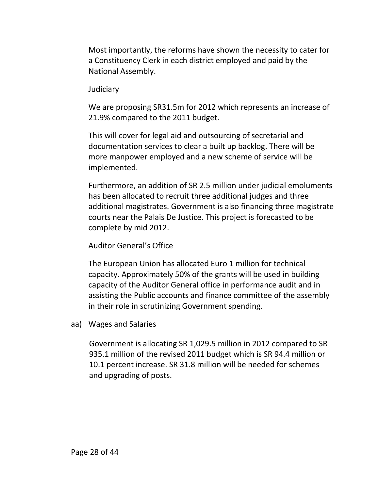Most importantly, the reforms have shown the necessity to cater for a Constituency Clerk in each district employed and paid by the National Assembly.

#### **Judiciary**

We are proposing SR31.5m for 2012 which represents an increase of 21.9% compared to the 2011 budget.

This will cover for legal aid and outsourcing of secretarial and documentation services to clear a built up backlog. There will be more manpower employed and a new scheme of service will be implemented.

Furthermore, an addition of SR 2.5 million under judicial emoluments has been allocated to recruit three additional judges and three additional magistrates. Government is also financing three magistrate courts near the Palais De Justice. This project is forecasted to be complete by mid 2012.

#### Auditor General's Office

The European Union has allocated Euro 1 million for technical capacity. Approximately 50% of the grants will be used in building capacity of the Auditor General office in performance audit and in assisting the Public accounts and finance committee of the assembly in their role in scrutinizing Government spending.

<span id="page-27-0"></span>aa) Wages and Salaries

Government is allocating SR 1,029.5 million in 2012 compared to SR 935.1 million of the revised 2011 budget which is SR 94.4 million or 10.1 percent increase. SR 31.8 million will be needed for schemes and upgrading of posts.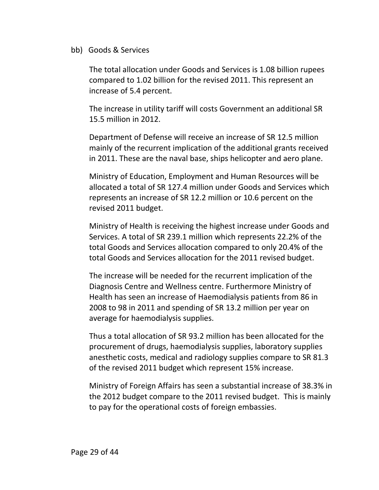#### <span id="page-28-0"></span>bb) Goods & Services

The total allocation under Goods and Services is 1.08 billion rupees compared to 1.02 billion for the revised 2011. This represent an increase of 5.4 percent.

The increase in utility tariff will costs Government an additional SR 15.5 million in 2012.

Department of Defense will receive an increase of SR 12.5 million mainly of the recurrent implication of the additional grants received in 2011. These are the naval base, ships helicopter and aero plane.

Ministry of Education, Employment and Human Resources will be allocated a total of SR 127.4 million under Goods and Services which represents an increase of SR 12.2 million or 10.6 percent on the revised 2011 budget.

Ministry of Health is receiving the highest increase under Goods and Services. A total of SR 239.1 million which represents 22.2% of the total Goods and Services allocation compared to only 20.4% of the total Goods and Services allocation for the 2011 revised budget.

The increase will be needed for the recurrent implication of the Diagnosis Centre and Wellness centre. Furthermore Ministry of Health has seen an increase of Haemodialysis patients from 86 in 2008 to 98 in 2011 and spending of SR 13.2 million per year on average for haemodialysis supplies.

Thus a total allocation of SR 93.2 million has been allocated for the procurement of drugs, haemodialysis supplies, laboratory supplies anesthetic costs, medical and radiology supplies compare to SR 81.3 of the revised 2011 budget which represent 15% increase.

Ministry of Foreign Affairs has seen a substantial increase of 38.3% in the 2012 budget compare to the 2011 revised budget. This is mainly to pay for the operational costs of foreign embassies.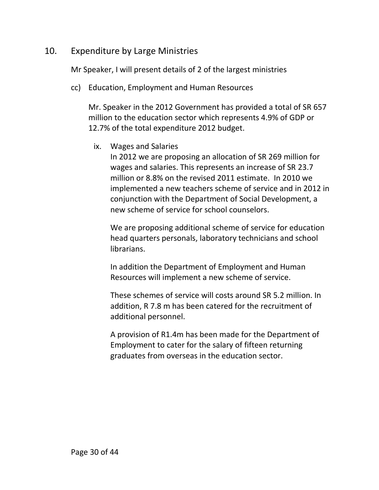## <span id="page-29-0"></span>10. Expenditure by Large Ministries

Mr Speaker, I will present details of 2 of the largest ministries

<span id="page-29-1"></span>cc) Education, Employment and Human Resources

Mr. Speaker in the 2012 Government has provided a total of SR 657 million to the education sector which represents 4.9% of GDP or 12.7% of the total expenditure 2012 budget.

ix. Wages and Salaries

In 2012 we are proposing an allocation of SR 269 million for wages and salaries. This represents an increase of SR 23.7 million or 8.8% on the revised 2011 estimate. In 2010 we implemented a new teachers scheme of service and in 2012 in conjunction with the Department of Social Development, a new scheme of service for school counselors.

We are proposing additional scheme of service for education head quarters personals, laboratory technicians and school librarians.

In addition the Department of Employment and Human Resources will implement a new scheme of service.

These schemes of service will costs around SR 5.2 million. In addition, R 7.8 m has been catered for the recruitment of additional personnel.

A provision of R1.4m has been made for the Department of Employment to cater for the salary of fifteen returning graduates from overseas in the education sector.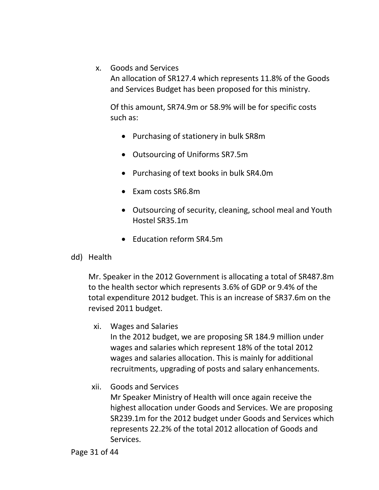x. Goods and Services

An allocation of SR127.4 which represents 11.8% of the Goods and Services Budget has been proposed for this ministry.

Of this amount, SR74.9m or 58.9% will be for specific costs such as:

- Purchasing of stationery in bulk SR8m
- Outsourcing of Uniforms SR7.5m
- Purchasing of text books in bulk SR4.0m
- Exam costs SR6.8m
- Outsourcing of security, cleaning, school meal and Youth Hostel SR35.1m
- Education reform SR4.5m
- <span id="page-30-0"></span>dd) Health

Mr. Speaker in the 2012 Government is allocating a total of SR487.8m to the health sector which represents 3.6% of GDP or 9.4% of the total expenditure 2012 budget. This is an increase of SR37.6m on the revised 2011 budget.

xi. Wages and Salaries

In the 2012 budget, we are proposing SR 184.9 million under wages and salaries which represent 18% of the total 2012 wages and salaries allocation. This is mainly for additional recruitments, upgrading of posts and salary enhancements.

xii. Goods and Services

Mr Speaker Ministry of Health will once again receive the highest allocation under Goods and Services. We are proposing SR239.1m for the 2012 budget under Goods and Services which represents 22.2% of the total 2012 allocation of Goods and Services.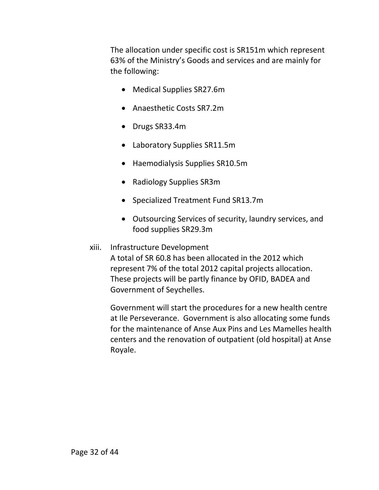The allocation under specific cost is SR151m which represent 63% of the Ministry's Goods and services and are mainly for the following:

- Medical Supplies SR27.6m
- Anaesthetic Costs SR7.2m
- Drugs SR33.4m
- Laboratory Supplies SR11.5m
- Haemodialysis Supplies SR10.5m
- Radiology Supplies SR3m
- Specialized Treatment Fund SR13.7m
- Outsourcing Services of security, laundry services, and food supplies SR29.3m

#### xiii. Infrastructure Development

A total of SR 60.8 has been allocated in the 2012 which represent 7% of the total 2012 capital projects allocation. These projects will be partly finance by OFID, BADEA and Government of Seychelles.

Government will start the procedures for a new health centre at Ile Perseverance. Government is also allocating some funds for the maintenance of Anse Aux Pins and Les Mamelles health centers and the renovation of outpatient (old hospital) at Anse Royale.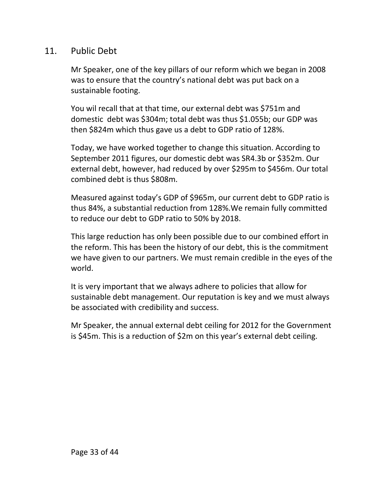## <span id="page-32-0"></span>11. Public Debt

Mr Speaker, one of the key pillars of our reform which we began in 2008 was to ensure that the country's national debt was put back on a sustainable footing.

You wil recall that at that time, our external debt was \$751m and domestic debt was \$304m; total debt was thus \$1.055b; our GDP was then \$824m which thus gave us a debt to GDP ratio of 128%.

Today, we have worked together to change this situation. According to September 2011 figures, our domestic debt was SR4.3b or \$352m. Our external debt, however, had reduced by over \$295m to \$456m. Our total combined debt is thus \$808m.

Measured against today's GDP of \$965m, our current debt to GDP ratio is thus 84%, a substantial reduction from 128%.We remain fully committed to reduce our debt to GDP ratio to 50% by 2018.

This large reduction has only been possible due to our combined effort in the reform. This has been the history of our debt, this is the commitment we have given to our partners. We must remain credible in the eyes of the world.

It is very important that we always adhere to policies that allow for sustainable debt management. Our reputation is key and we must always be associated with credibility and success.

Mr Speaker, the annual external debt ceiling for 2012 for the Government is \$45m. This is a reduction of \$2m on this year's external debt ceiling.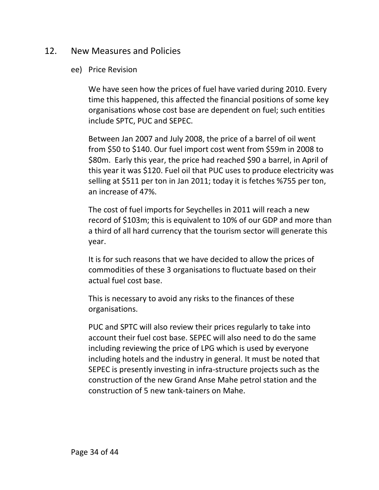## <span id="page-33-1"></span><span id="page-33-0"></span>12. New Measures and Policies

#### ee) Price Revision

We have seen how the prices of fuel have varied during 2010. Every time this happened, this affected the financial positions of some key organisations whose cost base are dependent on fuel; such entities include SPTC, PUC and SEPEC.

Between Jan 2007 and July 2008, the price of a barrel of oil went from \$50 to \$140. Our fuel import cost went from \$59m in 2008 to \$80m. Early this year, the price had reached \$90 a barrel, in April of this year it was \$120. Fuel oil that PUC uses to produce electricity was selling at \$511 per ton in Jan 2011; today it is fetches %755 per ton, an increase of 47%.

The cost of fuel imports for Seychelles in 2011 will reach a new record of \$103m; this is equivalent to 10% of our GDP and more than a third of all hard currency that the tourism sector will generate this year.

It is for such reasons that we have decided to allow the prices of commodities of these 3 organisations to fluctuate based on their actual fuel cost base.

This is necessary to avoid any risks to the finances of these organisations.

PUC and SPTC will also review their prices regularly to take into account their fuel cost base. SEPEC will also need to do the same including reviewing the price of LPG which is used by everyone including hotels and the industry in general. It must be noted that SEPEC is presently investing in infra-structure projects such as the construction of the new Grand Anse Mahe petrol station and the construction of 5 new tank-tainers on Mahe.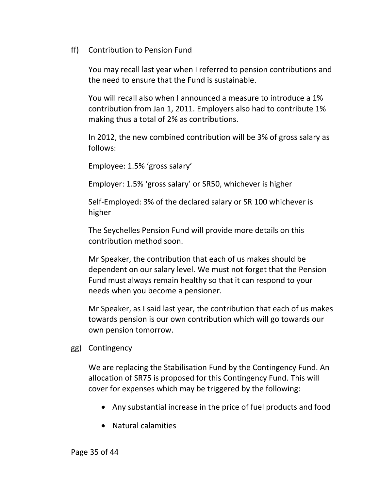<span id="page-34-0"></span>ff) Contribution to Pension Fund

You may recall last year when I referred to pension contributions and the need to ensure that the Fund is sustainable.

You will recall also when I announced a measure to introduce a 1% contribution from Jan 1, 2011. Employers also had to contribute 1% making thus a total of 2% as contributions.

In 2012, the new combined contribution will be 3% of gross salary as follows:

Employee: 1.5% 'gross salary'

Employer: 1.5% 'gross salary' or SR50, whichever is higher

Self-Employed: 3% of the declared salary or SR 100 whichever is higher

The Seychelles Pension Fund will provide more details on this contribution method soon.

Mr Speaker, the contribution that each of us makes should be dependent on our salary level. We must not forget that the Pension Fund must always remain healthy so that it can respond to your needs when you become a pensioner.

Mr Speaker, as I said last year, the contribution that each of us makes towards pension is our own contribution which will go towards our own pension tomorrow.

<span id="page-34-1"></span>gg) Contingency

We are replacing the Stabilisation Fund by the Contingency Fund. An allocation of SR75 is proposed for this Contingency Fund. This will cover for expenses which may be triggered by the following:

- Any substantial increase in the price of fuel products and food
- Natural calamities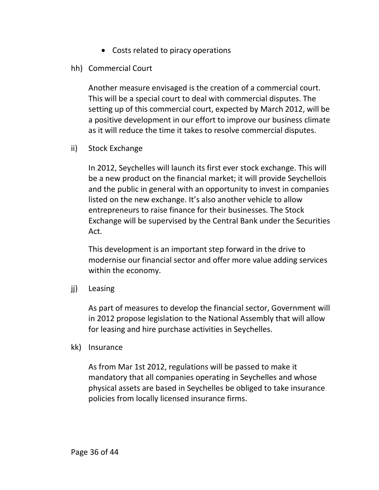Costs related to piracy operations

#### <span id="page-35-0"></span>hh) Commercial Court

Another measure envisaged is the creation of a commercial court. This will be a special court to deal with commercial disputes. The setting up of this commercial court, expected by March 2012, will be a positive development in our effort to improve our business climate as it will reduce the time it takes to resolve commercial disputes.

<span id="page-35-1"></span>ii) Stock Exchange

In 2012, Seychelles will launch its first ever stock exchange. This will be a new product on the financial market; it will provide Seychellois and the public in general with an opportunity to invest in companies listed on the new exchange. It's also another vehicle to allow entrepreneurs to raise finance for their businesses. The Stock Exchange will be supervised by the Central Bank under the Securities Act.

This development is an important step forward in the drive to modernise our financial sector and offer more value adding services within the economy.

<span id="page-35-2"></span>jj) Leasing

As part of measures to develop the financial sector, Government will in 2012 propose legislation to the National Assembly that will allow for leasing and hire purchase activities in Seychelles.

<span id="page-35-3"></span>kk) Insurance

As from Mar 1st 2012, regulations will be passed to make it mandatory that all companies operating in Seychelles and whose physical assets are based in Seychelles be obliged to take insurance policies from locally licensed insurance firms.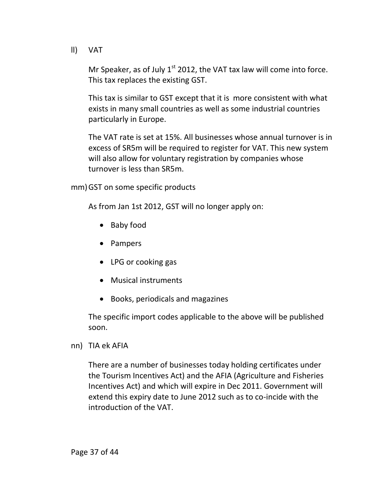<span id="page-36-0"></span>ll) VAT

Mr Speaker, as of July  $1<sup>st</sup>$  2012, the VAT tax law will come into force. This tax replaces the existing GST.

This tax is similar to GST except that it is more consistent with what exists in many small countries as well as some industrial countries particularly in Europe.

The VAT rate is set at 15%. All businesses whose annual turnover is in excess of SR5m will be required to register for VAT. This new system will also allow for voluntary registration by companies whose turnover is less than SR5m.

<span id="page-36-1"></span>mm)GST on some specific products

As from Jan 1st 2012, GST will no longer apply on:

- Baby food
- Pampers
- LPG or cooking gas
- Musical instruments
- Books, periodicals and magazines

The specific import codes applicable to the above will be published soon.

<span id="page-36-2"></span>nn) TIA ek AFIA

There are a number of businesses today holding certificates under the Tourism Incentives Act) and the AFIA (Agriculture and Fisheries Incentives Act) and which will expire in Dec 2011. Government will extend this expiry date to June 2012 such as to co-incide with the introduction of the VAT.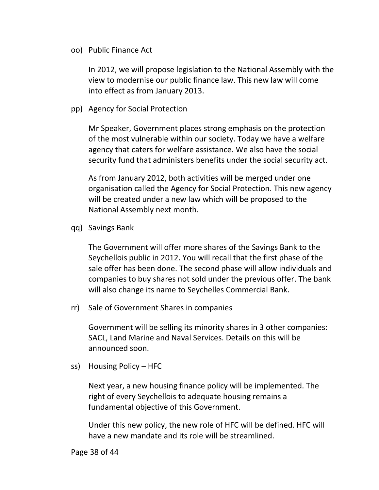<span id="page-37-0"></span>oo) Public Finance Act

In 2012, we will propose legislation to the National Assembly with the view to modernise our public finance law. This new law will come into effect as from January 2013.

<span id="page-37-1"></span>pp) Agency for Social Protection

Mr Speaker, Government places strong emphasis on the protection of the most vulnerable within our society. Today we have a welfare agency that caters for welfare assistance. We also have the social security fund that administers benefits under the social security act.

As from January 2012, both activities will be merged under one organisation called the Agency for Social Protection. This new agency will be created under a new law which will be proposed to the National Assembly next month.

<span id="page-37-2"></span>qq) Savings Bank

The Government will offer more shares of the Savings Bank to the Seychellois public in 2012. You will recall that the first phase of the sale offer has been done. The second phase will allow individuals and companies to buy shares not sold under the previous offer. The bank will also change its name to Seychelles Commercial Bank.

<span id="page-37-3"></span>rr) Sale of Government Shares in companies

Government will be selling its minority shares in 3 other companies: SACL, Land Marine and Naval Services. Details on this will be announced soon.

<span id="page-37-4"></span>ss) Housing Policy – HFC

Next year, a new housing finance policy will be implemented. The right of every Seychellois to adequate housing remains a fundamental objective of this Government.

Under this new policy, the new role of HFC will be defined. HFC will have a new mandate and its role will be streamlined.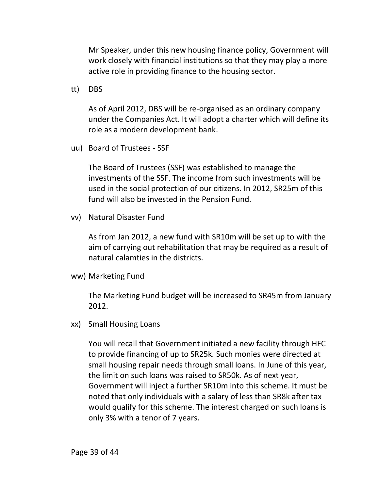Mr Speaker, under this new housing finance policy, Government will work closely with financial institutions so that they may play a more active role in providing finance to the housing sector.

<span id="page-38-0"></span>tt) DBS

As of April 2012, DBS will be re-organised as an ordinary company under the Companies Act. It will adopt a charter which will define its role as a modern development bank.

<span id="page-38-1"></span>uu) Board of Trustees - SSF

The Board of Trustees (SSF) was established to manage the investments of the SSF. The income from such investments will be used in the social protection of our citizens. In 2012, SR25m of this fund will also be invested in the Pension Fund.

<span id="page-38-2"></span>vv) Natural Disaster Fund

As from Jan 2012, a new fund with SR10m will be set up to with the aim of carrying out rehabilitation that may be required as a result of natural calamties in the districts.

<span id="page-38-3"></span>ww) Marketing Fund

The Marketing Fund budget will be increased to SR45m from January 2012.

<span id="page-38-4"></span>xx) Small Housing Loans

You will recall that Government initiated a new facility through HFC to provide financing of up to SR25k. Such monies were directed at small housing repair needs through small loans. In June of this year, the limit on such loans was raised to SR50k. As of next year, Government will inject a further SR10m into this scheme. It must be noted that only individuals with a salary of less than SR8k after tax would qualify for this scheme. The interest charged on such loans is only 3% with a tenor of 7 years.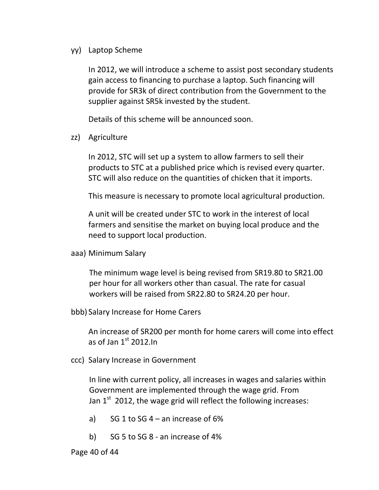#### <span id="page-39-0"></span>yy) Laptop Scheme

In 2012, we will introduce a scheme to assist post secondary students gain access to financing to purchase a laptop. Such financing will provide for SR3k of direct contribution from the Government to the supplier against SR5k invested by the student.

Details of this scheme will be announced soon.

<span id="page-39-1"></span>zz) Agriculture

In 2012, STC will set up a system to allow farmers to sell their products to STC at a published price which is revised every quarter. STC will also reduce on the quantities of chicken that it imports.

This measure is necessary to promote local agricultural production.

A unit will be created under STC to work in the interest of local farmers and sensitise the market on buying local produce and the need to support local production.

<span id="page-39-2"></span>aaa) Minimum Salary

The minimum wage level is being revised from SR19.80 to SR21.00 per hour for all workers other than casual. The rate for casual workers will be raised from SR22.80 to SR24.20 per hour.

<span id="page-39-3"></span>bbb) Salary Increase for Home Carers

An increase of SR200 per month for home carers will come into effect as of Jan  $1<sup>st</sup>$  2012.In

<span id="page-39-4"></span>ccc) Salary Increase in Government

In line with current policy, all increases in wages and salaries within Government are implemented through the wage grid. From Jan  $1<sup>st</sup>$  2012, the wage grid will reflect the following increases:

- a) SG 1 to SG  $4$  an increase of 6%
- b) SG 5 to SG 8 an increase of 4%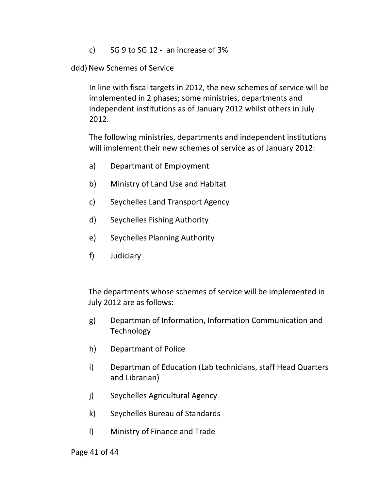c) SG 9 to SG 12 - an increase of  $3\%$ 

<span id="page-40-0"></span>ddd) New Schemes of Service

In line with fiscal targets in 2012, the new schemes of service will be implemented in 2 phases; some ministries, departments and independent institutions as of January 2012 whilst others in July 2012.

The following ministries, departments and independent institutions will implement their new schemes of service as of January 2012:

- a) Departmant of Employment
- b) Ministry of Land Use and Habitat
- c) Seychelles Land Transport Agency
- d) Seychelles Fishing Authority
- e) Seychelles Planning Authority
- f) Judiciary

The departments whose schemes of service will be implemented in July 2012 are as follows:

- g) Departman of Information, Information Communication and **Technology**
- h) Departmant of Police
- i) Departman of Education (Lab technicians, staff Head Quarters and Librarian)
- j) Seychelles Agricultural Agency
- k) Seychelles Bureau of Standards
- l) Ministry of Finance and Trade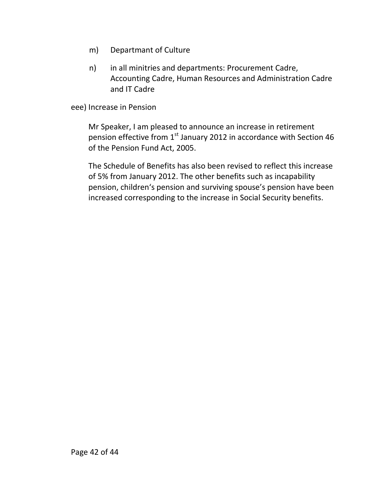- m) Departmant of Culture
- n) in all minitries and departments: Procurement Cadre, Accounting Cadre, Human Resources and Administration Cadre and IT Cadre

<span id="page-41-0"></span>eee) Increase in Pension

Mr Speaker, I am pleased to announce an increase in retirement pension effective from  $1<sup>st</sup>$  January 2012 in accordance with Section 46 of the Pension Fund Act, 2005.

The Schedule of Benefits has also been revised to reflect this increase of 5% from January 2012. The other benefits such as incapability pension, children's pension and surviving spouse's pension have been increased corresponding to the increase in Social Security benefits.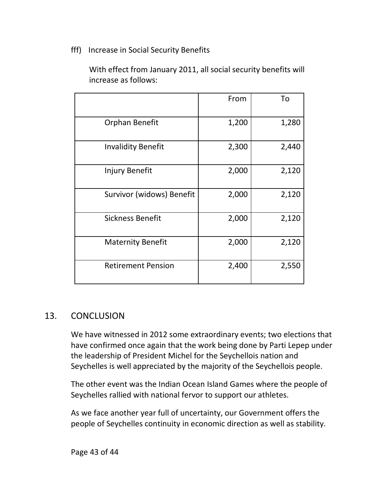#### <span id="page-42-0"></span>fff) Increase in Social Security Benefits

With effect from January 2011, all social security benefits will increase as follows:

|                           | From  | To    |
|---------------------------|-------|-------|
| Orphan Benefit            | 1,200 | 1,280 |
| <b>Invalidity Benefit</b> | 2,300 | 2,440 |
| Injury Benefit            | 2,000 | 2,120 |
| Survivor (widows) Benefit | 2,000 | 2,120 |
| <b>Sickness Benefit</b>   | 2,000 | 2,120 |
| <b>Maternity Benefit</b>  | 2,000 | 2,120 |
| <b>Retirement Pension</b> | 2,400 | 2,550 |

## <span id="page-42-1"></span>13. CONCLUSION

We have witnessed in 2012 some extraordinary events; two elections that have confirmed once again that the work being done by Parti Lepep under the leadership of President Michel for the Seychellois nation and Seychelles is well appreciated by the majority of the Seychellois people.

The other event was the Indian Ocean Island Games where the people of Seychelles rallied with national fervor to support our athletes.

As we face another year full of uncertainty, our Government offers the people of Seychelles continuity in economic direction as well as stability.